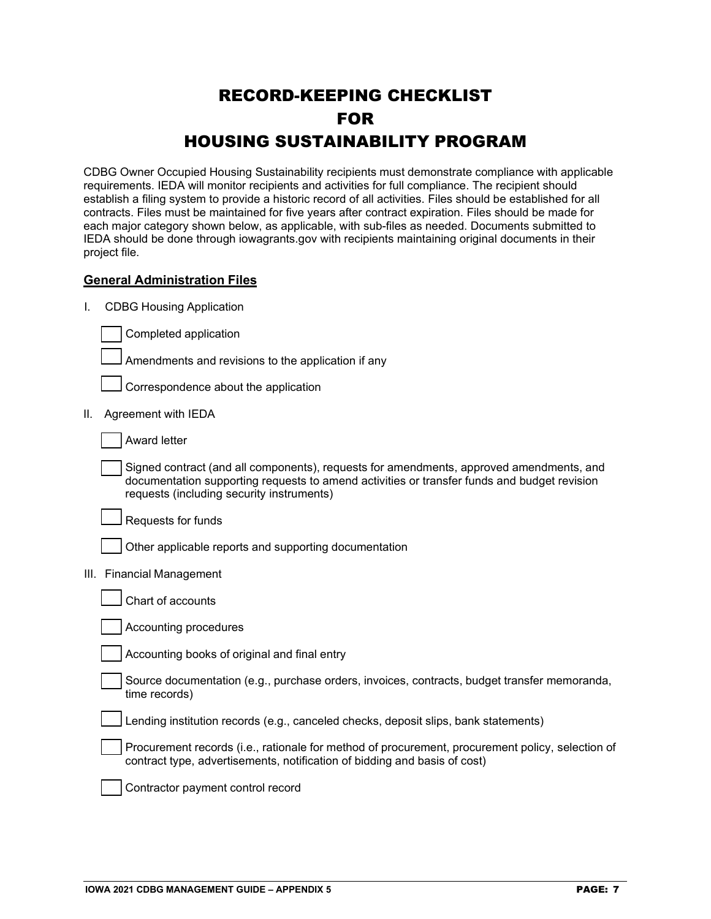## RECORD-KEEPING CHECKLIST FOR HOUSING SUSTAINABILITY PROGRAM

CDBG Owner Occupied Housing Sustainability recipients must demonstrate compliance with applicable requirements. IEDA will monitor recipients and activities for full compliance. The recipient should establish a filing system to provide a historic record of all activities. Files should be established for all contracts. Files must be maintained for five years after contract expiration. Files should be made for each major category shown below, as applicable, with sub-files as needed. Documents submitted to IEDA should be done through iowagrants.gov with recipients maintaining original documents in their project file.

## **General Administration Files**

I. CDBG Housing Application

Completed application

Amendments and revisions to the application if any

Correspondence about the application

II. Agreement with IEDA

Award letter

Signed contract (and all components), requests for amendments, approved amendments, and documentation supporting requests to amend activities or transfer funds and budget revision requests (including security instruments)

Requests for funds

Other applicable reports and supporting documentation

III. Financial Management

Accounting procedures

Accounting books of original and final entry

Source documentation (e.g., purchase orders, invoices, contracts, budget transfer memoranda, time records)

Lending institution records (e.g., canceled checks, deposit slips, bank statements)

Procurement records (i.e., rationale for method of procurement, procurement policy, selection of contract type, advertisements, notification of bidding and basis of cost)

Contractor payment control record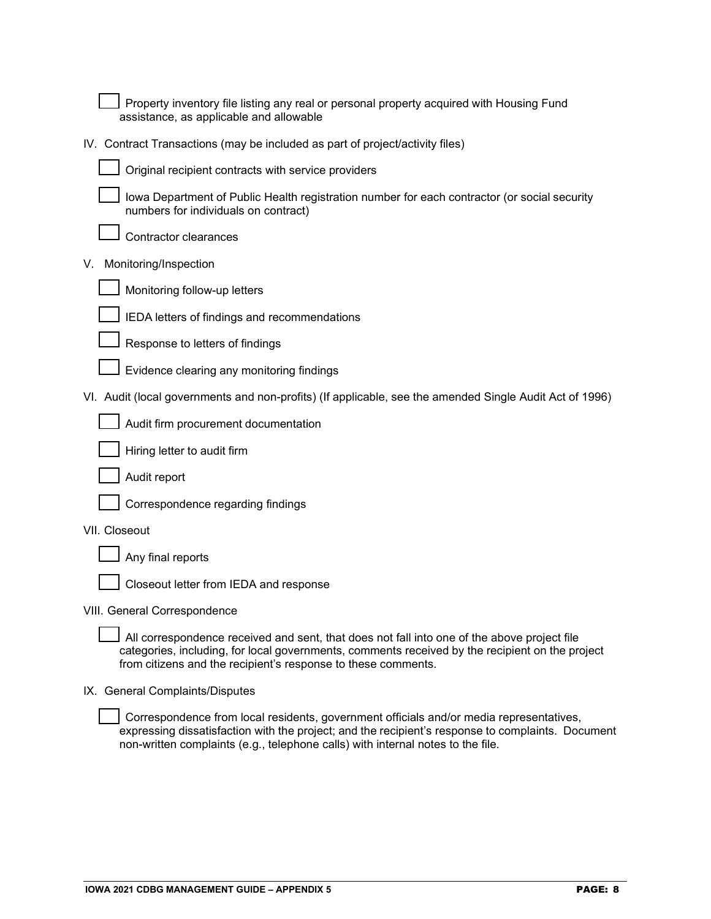Property inventory file listing any real or personal property acquired with Housing Fund assistance, as applicable and allowable

IV. Contract Transactions (may be included as part of project/activity files)



Original recipient contracts with service providers



Iowa Department of Public Health registration number for each contractor (or social security numbers for individuals on contract)

Contractor clearances

V. Monitoring/Inspection



Monitoring follow-up letters



IEDA letters of findings and recommendations

Response to letters of findings

Evidence clearing any monitoring findings

VI. Audit (local governments and non-profits) (If applicable, see the amended Single Audit Act of 1996)





Audit report



VII. Closeout

|  | $\rfloor$ Any final reports |
|--|-----------------------------|
|  |                             |

Closeout letter from IEDA and response

VIII. General Correspondence

All correspondence received and sent, that does not fall into one of the above project file categories, including, for local governments, comments received by the recipient on the project from citizens and the recipient's response to these comments.

IX. General Complaints/Disputes

Correspondence from local residents, government officials and/or media representatives, expressing dissatisfaction with the project; and the recipient's response to complaints. Document non-written complaints (e.g., telephone calls) with internal notes to the file.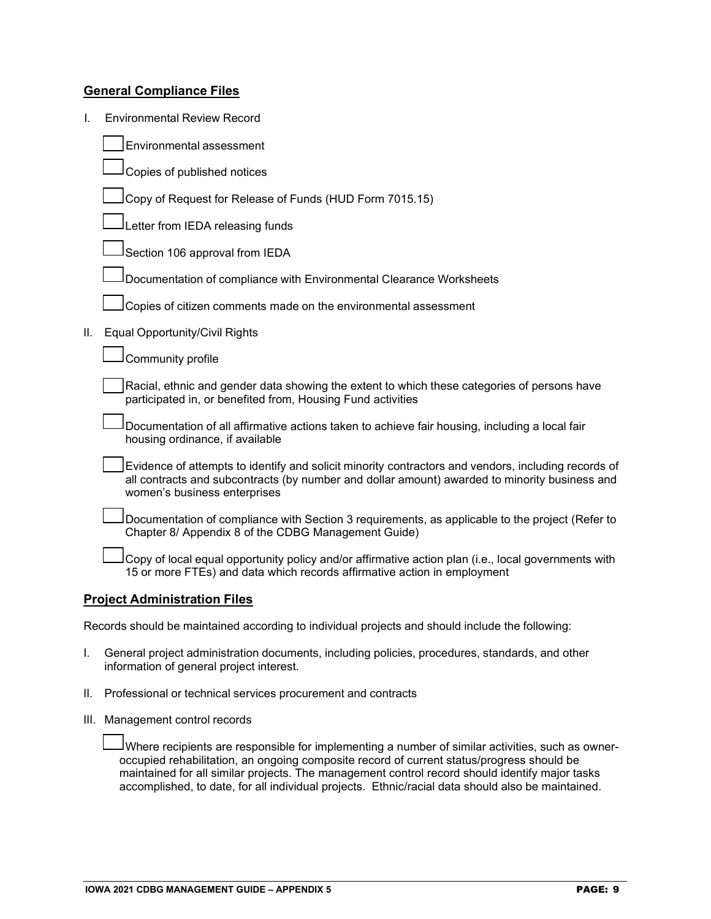## **General Compliance Files**

| I.                                  | <b>Environmental Review Record</b>                                                                                                                                                                                                   |  |  |  |
|-------------------------------------|--------------------------------------------------------------------------------------------------------------------------------------------------------------------------------------------------------------------------------------|--|--|--|
|                                     | Environmental assessment                                                                                                                                                                                                             |  |  |  |
|                                     | Copies of published notices                                                                                                                                                                                                          |  |  |  |
|                                     | Copy of Request for Release of Funds (HUD Form 7015.15)                                                                                                                                                                              |  |  |  |
|                                     | Letter from IEDA releasing funds                                                                                                                                                                                                     |  |  |  |
|                                     | Section 106 approval from IEDA                                                                                                                                                                                                       |  |  |  |
|                                     | Documentation of compliance with Environmental Clearance Worksheets                                                                                                                                                                  |  |  |  |
|                                     | Copies of citizen comments made on the environmental assessment                                                                                                                                                                      |  |  |  |
| ΙΙ.                                 | Equal Opportunity/Civil Rights                                                                                                                                                                                                       |  |  |  |
|                                     | Community profile                                                                                                                                                                                                                    |  |  |  |
|                                     | Racial, ethnic and gender data showing the extent to which these categories of persons have<br>participated in, or benefited from, Housing Fund activities                                                                           |  |  |  |
|                                     | Documentation of all affirmative actions taken to achieve fair housing, including a local fair<br>housing ordinance, if available                                                                                                    |  |  |  |
|                                     | Evidence of attempts to identify and solicit minority contractors and vendors, including records of<br>all contracts and subcontracts (by number and dollar amount) awarded to minority business and<br>women's business enterprises |  |  |  |
|                                     | Documentation of compliance with Section 3 requirements, as applicable to the project (Refer to<br>Chapter 8/ Appendix 8 of the CDBG Management Guide)                                                                               |  |  |  |
|                                     | Copy of local equal opportunity policy and/or affirmative action plan (i.e., local governments with<br>15 or more FTEs) and data which records affirmative action in employment                                                      |  |  |  |
| <b>Project Administration Files</b> |                                                                                                                                                                                                                                      |  |  |  |

Records should be maintained according to individual projects and should include the following:

- I. General project administration documents, including policies, procedures, standards, and other information of general project interest.
- II. Professional or technical services procurement and contracts
- III. Management control records

Where recipients are responsible for implementing a number of similar activities, such as owneroccupied rehabilitation, an ongoing composite record of current status/progress should be maintained for all similar projects. The management control record should identify major tasks accomplished, to date, for all individual projects. Ethnic/racial data should also be maintained.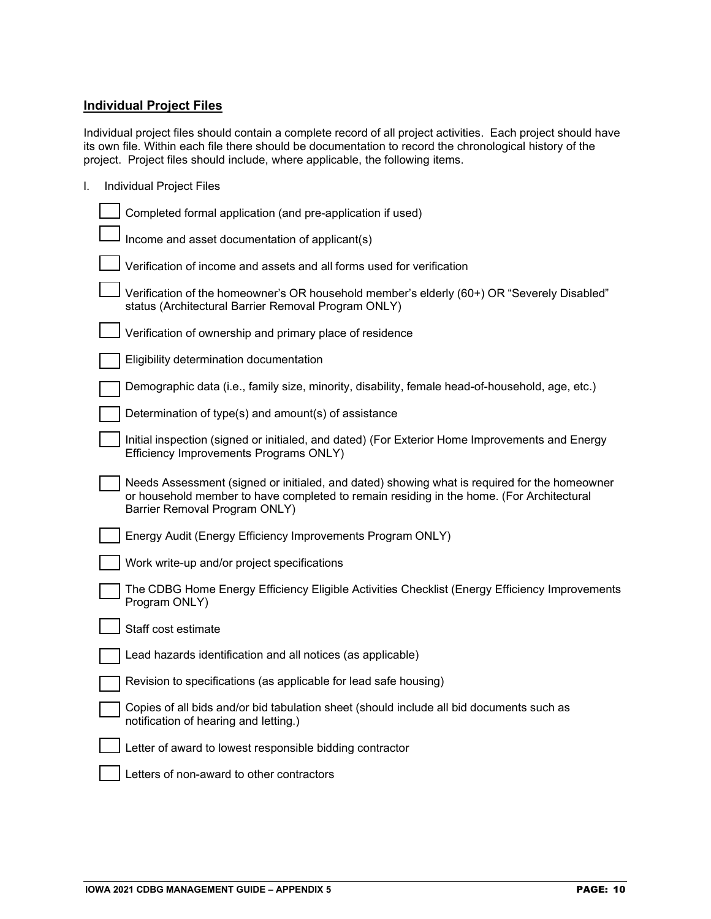## **Individual Project Files**

Individual project files should contain a complete record of all project activities. Each project should have its own file. Within each file there should be documentation to record the chronological history of the project. Project files should include, where applicable, the following items.

I. Individual Project Files

| Completed formal application (and pre-application if used)                                                                                                                                                                |
|---------------------------------------------------------------------------------------------------------------------------------------------------------------------------------------------------------------------------|
| Income and asset documentation of applicant(s)                                                                                                                                                                            |
| Verification of income and assets and all forms used for verification                                                                                                                                                     |
| Verification of the homeowner's OR household member's elderly (60+) OR "Severely Disabled"<br>status (Architectural Barrier Removal Program ONLY)                                                                         |
| Verification of ownership and primary place of residence                                                                                                                                                                  |
| Eligibility determination documentation                                                                                                                                                                                   |
| Demographic data (i.e., family size, minority, disability, female head-of-household, age, etc.)                                                                                                                           |
| Determination of type(s) and amount(s) of assistance                                                                                                                                                                      |
| Initial inspection (signed or initialed, and dated) (For Exterior Home Improvements and Energy<br>Efficiency Improvements Programs ONLY)                                                                                  |
| Needs Assessment (signed or initialed, and dated) showing what is required for the homeowner<br>or household member to have completed to remain residing in the home. (For Architectural<br>Barrier Removal Program ONLY) |
| Energy Audit (Energy Efficiency Improvements Program ONLY)                                                                                                                                                                |
| Work write-up and/or project specifications                                                                                                                                                                               |
| The CDBG Home Energy Efficiency Eligible Activities Checklist (Energy Efficiency Improvements<br>Program ONLY)                                                                                                            |
| Staff cost estimate                                                                                                                                                                                                       |
| Lead hazards identification and all notices (as applicable)                                                                                                                                                               |
| Revision to specifications (as applicable for lead safe housing)                                                                                                                                                          |
| Copies of all bids and/or bid tabulation sheet (should include all bid documents such as<br>notification of hearing and letting.)                                                                                         |
| Letter of award to lowest responsible bidding contractor                                                                                                                                                                  |
| Letters of non-award to other contractors                                                                                                                                                                                 |
|                                                                                                                                                                                                                           |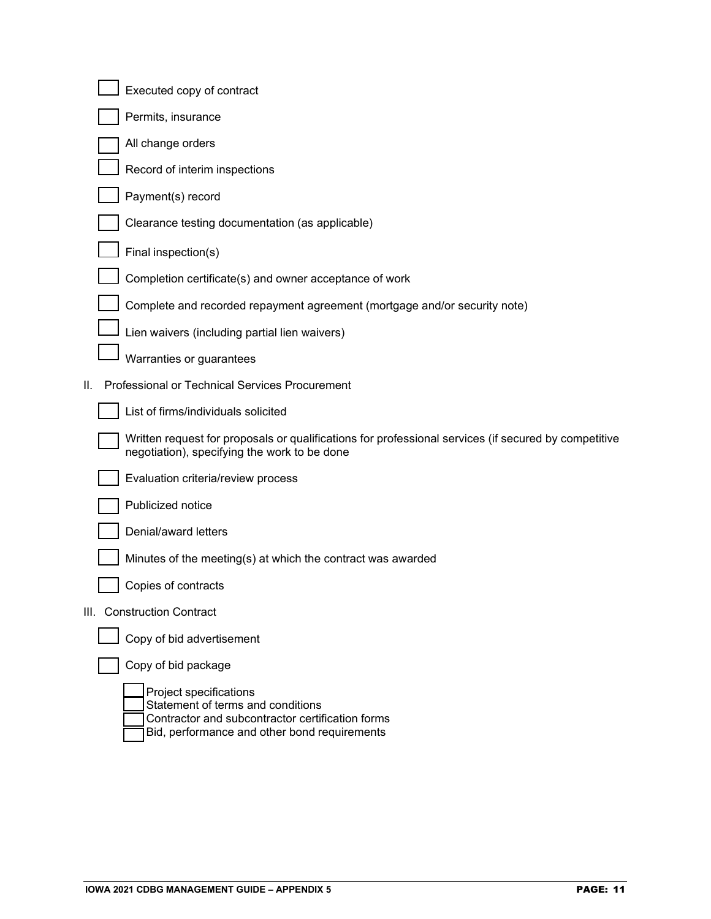|     | Executed copy of contract                                                                                                                                       |
|-----|-----------------------------------------------------------------------------------------------------------------------------------------------------------------|
|     | Permits, insurance                                                                                                                                              |
|     | All change orders                                                                                                                                               |
|     | Record of interim inspections                                                                                                                                   |
|     | Payment(s) record                                                                                                                                               |
|     | Clearance testing documentation (as applicable)                                                                                                                 |
|     | Final inspection(s)                                                                                                                                             |
|     | Completion certificate(s) and owner acceptance of work                                                                                                          |
|     | Complete and recorded repayment agreement (mortgage and/or security note)                                                                                       |
|     | Lien waivers (including partial lien waivers)                                                                                                                   |
|     | Warranties or guarantees                                                                                                                                        |
| II. | Professional or Technical Services Procurement                                                                                                                  |
|     | List of firms/individuals solicited                                                                                                                             |
|     | Written request for proposals or qualifications for professional services (if secured by competitive<br>negotiation), specifying the work to be done            |
|     | Evaluation criteria/review process                                                                                                                              |
|     | Publicized notice                                                                                                                                               |
|     | Denial/award letters                                                                                                                                            |
|     | Minutes of the meeting(s) at which the contract was awarded                                                                                                     |
|     | Copies of contracts                                                                                                                                             |
|     | III. Construction Contract                                                                                                                                      |
|     | Copy of bid advertisement                                                                                                                                       |
|     | Copy of bid package                                                                                                                                             |
|     | Project specifications<br>Statement of terms and conditions<br>Contractor and subcontractor certification forms<br>Bid, performance and other bond requirements |